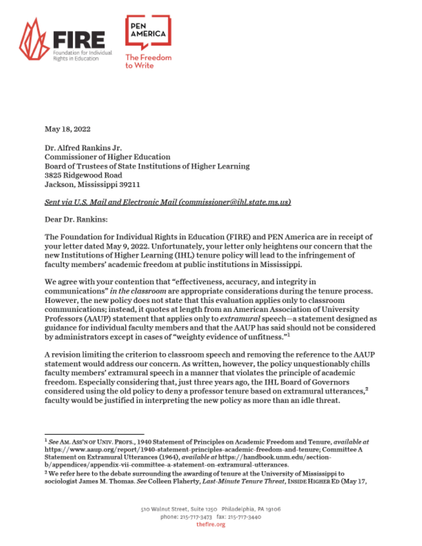

May 18, 2022

Dr. Alfred Rankins Jr. **Commissioner of Higher Education** Board of Trustees of State Institutions of Higher Learning 3825 Ridgewood Road Jackson, Mississippi 39211

## Sent via U.S. Mail and Electronic Mail (commissioner@ihl.state.ms.us)

Dear Dr. Rankins:

The Foundation for Individual Rights in Education (FIRE) and PEN America are in receipt of your letter dated May 9, 2022. Unfortunately, your letter only heightens our concern that the new Institutions of Higher Learning (IHL) tenure policy will lead to the infringement of faculty members' academic freedom at public institutions in Mississippi.

We agree with your contention that "effectiveness, accuracy, and integrity in communications" in the classroom are appropriate considerations during the tenure process. However, the new policy does not state that this evaluation applies only to classroom communications; instead, it quotes at length from an American Association of University Professors (AAUP) statement that applies only to *extramural* speech—a statement designed as guidance for individual faculty members and that the AAUP has said should not be considered by administrators except in cases of "weighty evidence of unfitness."

A revision limiting the criterion to classroom speech and removing the reference to the AAUP statement would address our concern. As written, however, the policy unquestionably chills faculty members' extramural speech in a manner that violates the principle of academic freedom. Especially considering that, just three years ago, the IHL Board of Governors considered using the old policy to deny a professor tenure based on extramural utterances.<sup>2</sup> faculty would be justified in interpreting the new policy as more than an idle threat.

 $^1$  See AM. Ass'N OF UNIV. PROFS., 1940 Statement of Principles on Academic Freedom and Tenure, available at https://www.aaup.org/report/1940-statement-principles-academic-freedom-and-tenure; Committee A Statement on Extramural Utterances (1964), available at https://handbook.unm.edu/section-

b/appendices/appendix-vii-committee-a-statement-on-extramural-utterances.

<sup>&</sup>lt;sup>2</sup> We refer here to the debate surrounding the awarding of tenure at the University of Mississippi to sociologist James M. Thomas. See Colleen Flaherty, Last-Minute Tenure Threat, INSIDE HIGHER ED (May 17,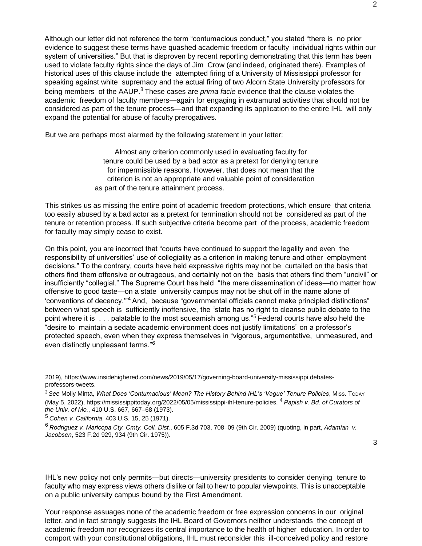Although our letter did not reference the term "contumacious conduct," you stated "there is no prior evidence to suggest these terms have quashed academic freedom or faculty individual rights within our system of universities." But that is disproven by recent reporting demonstrating that this term has been used to violate faculty rights since the days of Jim Crow (and indeed, originated there). Examples of historical uses of this clause include the attempted firing of a University of Mississippi professor for speaking against white supremacy and the actual firing of two Alcorn State University professors for being members of the AAUP.3 These cases are *prima facie* evidence that the clause violates the academic freedom of faculty members—again for engaging in extramural activities that should not be considered as part of the tenure process—and that expanding its application to the entire IHL will only expand the potential for abuse of faculty prerogatives.

But we are perhaps most alarmed by the following statement in your letter:

Almost any criterion commonly used in evaluating faculty for tenure could be used by a bad actor as a pretext for denying tenure for impermissible reasons. However, that does not mean that the criterion is not an appropriate and valuable point of consideration as part of the tenure attainment process.

This strikes us as missing the entire point of academic freedom protections, which ensure that criteria too easily abused by a bad actor as a pretext for termination should not be considered as part of the tenure or retention process. If such subjective criteria become part of the process, academic freedom for faculty may simply cease to exist.

On this point, you are incorrect that "courts have continued to support the legality and even the responsibility of universities' use of collegiality as a criterion in making tenure and other employment decisions." To the contrary, courts have held expressive rights may not be curtailed on the basis that others find them offensive or outrageous, and certainly not on the basis that others find them "uncivil" or insufficiently "collegial." The Supreme Court has held "the mere dissemination of ideas—no matter how offensive to good taste—on a state university campus may not be shut off in the name alone of 'conventions of decency.'"4 And, because "governmental officials cannot make principled distinctions" between what speech is sufficiently inoffensive, the "state has no right to cleanse public debate to the point where it is . . . palatable to the most squeamish among us."<sup>5</sup> Federal courts have also held the "desire to maintain a sedate academic environment does not justify limitations" on a professor's protected speech, even when they express themselves in "vigorous, argumentative, unmeasured, and even distinctly unpleasant terms."<sup>6</sup>

<sup>3</sup>*See* Molly Minta, *What Does 'Contumacious' Mean? The History Behind IHL's 'Vague' Tenure Policies*, MISS. TODAY (May 5, 2022), https://mississippitoday.org/2022/05/05/mississippi-ihl-tenure-policies. 4 *Papish v. Bd. of Curators of the Univ. of Mo.*, 410 U.S. 667, 667–68 (1973).

<sup>5</sup>*Cohen v. California*, 403 U.S. 15, 25 (1971).

<sup>6</sup>*Rodriguez v. Maricopa Cty. Cmty. Coll. Dist.*, 605 F.3d 703, 708–09 (9th Cir. 2009) (quoting, in part, *Adamian v. Jacobsen*, 523 F.2d 929, 934 (9th Cir. 1975)).

IHL's new policy not only permits—but directs—university presidents to consider denying tenure to faculty who may express views others dislike or fail to hew to popular viewpoints. This is unacceptable on a public university campus bound by the First Amendment.

Your response assuages none of the academic freedom or free expression concerns in our original letter, and in fact strongly suggests the IHL Board of Governors neither understands the concept of academic freedom nor recognizes its central importance to the health of higher education. In order to comport with your constitutional obligations, IHL must reconsider this ill-conceived policy and restore

<sup>2019),</sup> https://www.insidehighered.com/news/2019/05/17/governing-board-university-mississippi debatesprofessors-tweets.